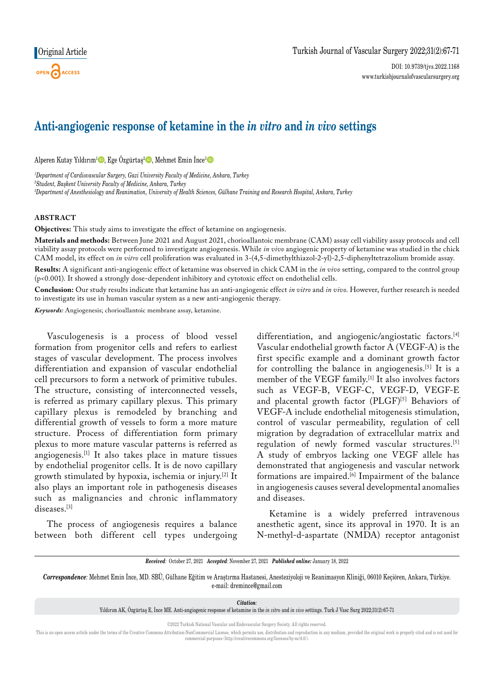# **Anti-angiogenic response of ketamine in the** *in vitro* **and** *in vivo* **settings**

Alperen Kutay Yıldırım<sup>ı</sup> $\bullet$ , Ege Özgürtaş<sup>2</sup> $\bullet$ , Mehmet Emin İnce<sup>3</sup> $\bullet$ 

*1 Department of Cardiovascular Surgery, Gazi University Faculty of Medicine, Ankara, Turkey 2 Student, Başkent University Faculty of Medicine, Ankara, Turkey 3 Department of Anesthesiology and Reanimation, University of Health Sciences, Gülhane Training and Research Hospital, Ankara, Turkey*

## **ABSTRACT**

**Objectives:** This study aims to investigate the effect of ketamine on angiogenesis.

**Materials and methods:** Between June 2021 and August 2021, chorioallantoic membrane (CAM) assay cell viability assay protocols and cell viability assay protocols were performed to investigate angiogenesis. While *in vivo* angiogenic property of ketamine was studied in the chick CAM model, its effect on *in vitro* cell proliferation was evaluated in 3-(4,5-dimethylthiazol-2-yl)-2,5-diphenyltetrazolium bromide assay.

**Results:** A significant anti-angiogenic effect of ketamine was observed in chick CAM in the *in vivo* setting, compared to the control group (p<0.001). It showed a strongly dose-dependent inhibitory and cytotoxic effect on endothelial cells.

**Conclusion:** Our study results indicate that ketamine has an anti-angiogenic effect *in vitro* and *in vivo*. However, further research is needed to investigate its use in human vascular system as a new anti-angiogenic therapy.

*Keywords:* Angiogenesis; chorioallantoic membrane assay, ketamine.

Vasculogenesis is a process of blood vessel formation from progenitor cells and refers to earliest stages of vascular development. The process involves differentiation and expansion of vascular endothelial cell precursors to form a network of primitive tubules. The structure, consisting of interconnected vessels, is referred as primary capillary plexus. This primary capillary plexus is remodeled by branching and differential growth of vessels to form a more mature structure. Process of differentiation form primary plexus to more mature vascular patterns is referred as angiogenesis.[1] It also takes place in mature tissues by endothelial progenitor cells. It is de novo capillary growth stimulated by hypoxia, ischemia or injury.[2] It also plays an important role in pathogenesis diseases such as malignancies and chronic inflammatory diseases.[3]

The process of angiogenesis requires a balance between both different cell types undergoing differentiation, and angiogenic/angiostatic factors.<sup>[4]</sup> Vascular endothelial growth factor A (VEGF-A) is the first specific example and a dominant growth factor for controlling the balance in angiogenesis.<sup>[5]</sup> It is a member of the VEGF family.[1] It also involves factors such as VEGF-B, VEGF-C, VEGF-D, VEGF-E and placental growth factor (PLGF)<sup>[5]</sup> Behaviors of VEGF-A include endothelial mitogenesis stimulation, control of vascular permeability, regulation of cell migration by degradation of extracellular matrix and regulation of newly formed vascular structures.[5] A study of embryos lacking one VEGF allele has demonstrated that angiogenesis and vascular network formations are impaired.<sup>[6]</sup> Impairment of the balance in angiogenesis causes several developmental anomalies and diseases.

Ketamine is a widely preferred intravenous anesthetic agent, since its approval in 1970. It is an N-methyl-d-aspartate (NMDA) receptor antagonist

*Correspondence:* Mehmet Emin İnce, MD. SBÜ, Gülhane Eğitim ve Araştırma Hastanesi, Anesteziyoloji ve Reanimasyon Kliniği, 06010 Keçiören, Ankara, Türkiye. e-mail: dremince@gmail.com

*Citation:*

Yıldırım AK, Özgürtaş E, İnce ME. Anti-angiogenic response of ketamine in the *in vitro* and *in vivo* settings. Turk J Vasc Surg 2022;31(2):67-71

©2022 Turkish National Vascular and Endovascular Surgery Society. All rights reserved.

This is an open access article under the terms of the Creative Commons Attribution-NonCommercial License, which permits use, distribution and reproduction in any medium, provided the original work is properly cited and is commercial purposes (http://creativecommons.org/licenses/by-nc/4.0/).

*Received:* October 27, 2021 *Accepted:* November 27, 2021 *Published online:* January 18, 2022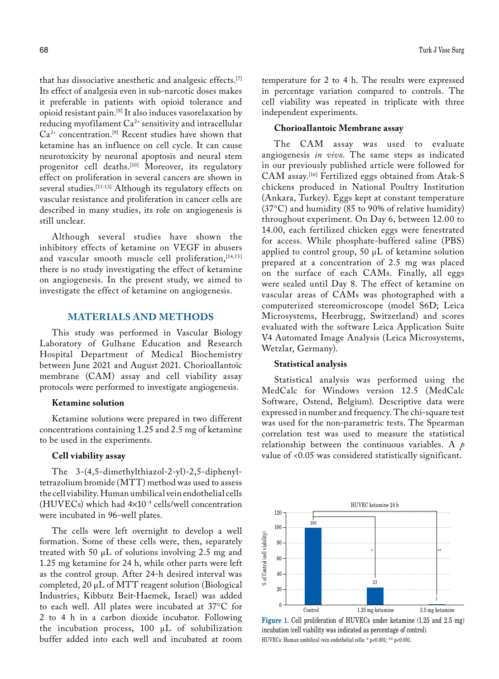that has dissociative anesthetic and analgesic effects.[7] Its effect of analgesia even in sub-narcotic doses makes it preferable in patients with opioid tolerance and opioid resistant pain.[8] It also induces vasorelaxation by reducing myofilament Ca<sup>2+</sup> sensitivity and intracellular  $Ca^{2+}$  concentration.<sup>[9]</sup> Recent studies have shown that ketamine has an influence on cell cycle. It can cause neurotoxicity by neuronal apoptosis and neural stem progenitor cell deaths.<sup>[10]</sup> Moreover, its regulatory effect on proliferation in several cancers are shown in several studies.<sup>[11-13]</sup> Although its regulatory effects on vascular resistance and proliferation in cancer cells are described in many studies, its role on angiogenesis is still unclear.

Although several studies have shown the inhibitory effects of ketamine on VEGF in abusers and vascular smooth muscle cell proliferation, [14,15] there is no study investigating the effect of ketamine on angiogenesis. In the present study, we aimed to investigate the effect of ketamine on angiogenesis.

## **Materials AND METHODS**

This study was performed in Vascular Biology Laboratory of Gulhane Education and Research Hospital Department of Medical Biochemistry between June 2021 and August 2021. Chorioallantoic membrane (CAM) assay and cell viability assay protocols were performed to investigate angiogenesis.

## **Ketamine solution**

Ketamine solutions were prepared in two different concentrations containing 1.25 and 2.5 mg of ketamine to be used in the experiments.

#### **Cell viability assay**

The 3-(4,5-dimethylthiazol-2-yl)-2,5-diphenyltetrazolium bromide (MTT) method was used to assess the cell viability. Human umbilical vein endothelial cells (HUVECs) which had  $4\times10^{-4}$  cells/well concentration were incubated in 96-well plates.

The cells were left overnight to develop a well formation. Some of these cells were, then, separately treated with 50 μL of solutions involving 2.5 mg and 1.25 mg ketamine for 24 h, while other parts were left as the control group. After 24-h desired interval was completed, 20 μL of MTT reagent solution (Biological Industries, Kibbutz Beit-Haemek, Israel) was added to each well. All plates were incubated at 37°C for 2 to 4 h in a carbon dioxide incubator. Following the incubation process, 100 μL of solubilization buffer added into each well and incubated at room temperature for 2 to 4 h. The results were expressed in percentage variation compared to controls. The cell viability was repeated in triplicate with three independent experiments.

#### **Chorioallantoic Membrane assay**

The CAM assay was used to evaluate angiogenesis *in vivo*. The same steps as indicated in our previously published article were followed for CAM assay.[16] Fertilized eggs obtained from Atak-S chickens produced in National Poultry Institution (Ankara, Turkey). Eggs kept at constant temperature (37°C) and humidity (85 to 90% of relative humidity) throughout experiment. On Day 6, between 12.00 to 14.00, each fertilized chicken eggs were fenestrated for access. While phosphate-buffered saline (PBS) applied to control group, 50 μL of ketamine solution prepared at a concentration of 2.5 mg was placed on the surface of each CAMs. Finally, all eggs were sealed until Day 8. The effect of ketamine on vascular areas of CAMs was photographed with a computerized stereomicroscope (model S6D; Leica Microsystems, Heerbrugg, Switzerland) and scores evaluated with the software Leica Application Suite V4 Automated Image Analysis (Leica Microsystems, Wetzlar, Germany).

#### **Statistical analysis**

Statistical analysis was performed using the MedCalc for Windows version 12.5 (MedCalc Software, Ostend, Belgium). Descriptive data were expressed in number and frequency. The chi-square test was used for the non-parametric tests. The Spearman correlation test was used to measure the statistical relationship between the continuous variables. A *p* value of <0.05 was considered statistically significant.



Figure 1. Cell proliferation of HUVECs under ketamine (1.25 and 2.5 mg) incubation (cell viability was indicated as percentage of control). HUVECs: Human umbilical vein endothelial cells; \* p<0.001; \*\* p<0.001.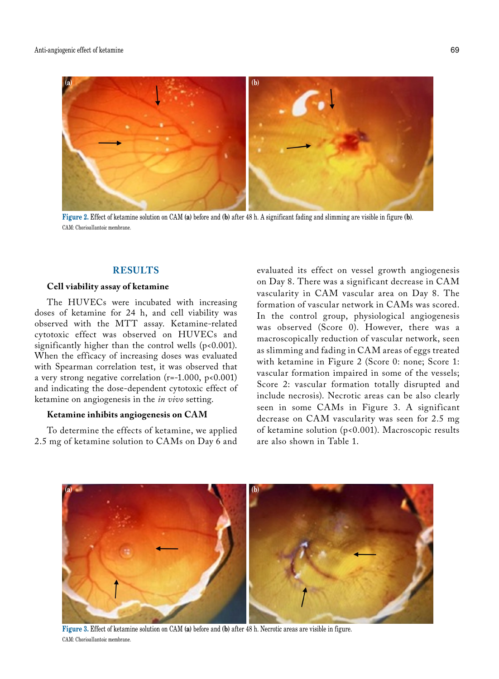

**Figure 2.** Effect of ketamine solution on CAM **(a)** before and **(b)** after 48 h. A significant fading and slimming are visible in figure **(b)**. CAM: Chorioallantoic membrane.

## **RESULTS**

## **Cell viability assay of ketamine**

The HUVECs were incubated with increasing doses of ketamine for 24 h, and cell viability was observed with the MTT assay. Ketamine-related cytotoxic effect was observed on HUVECs and significantly higher than the control wells (p<0.001). When the efficacy of increasing doses was evaluated with Spearman correlation test, it was observed that a very strong negative correlation ( $r=-1.000$ ,  $p<0.001$ ) and indicating the dose-dependent cytotoxic effect of ketamine on angiogenesis in the *in vivo* setting.

### **Ketamine inhibits angiogenesis on CAM**

To determine the effects of ketamine, we applied 2.5 mg of ketamine solution to CAMs on Day 6 and evaluated its effect on vessel growth angiogenesis on Day 8. There was a significant decrease in CAM vascularity in CAM vascular area on Day 8. The formation of vascular network in CAMs was scored. In the control group, physiological angiogenesis was observed (Score 0). However, there was a macroscopically reduction of vascular network, seen as slimming and fading in CAM areas of eggs treated with ketamine in Figure 2 (Score 0: none; Score 1: vascular formation impaired in some of the vessels; Score 2: vascular formation totally disrupted and include necrosis). Necrotic areas can be also clearly seen in some CAMs in Figure 3. A significant decrease on CAM vascularity was seen for 2.5 mg of ketamine solution (p<0.001). Macroscopic results are also shown in Table 1.



**Figure 3.** Effect of ketamine solution on CAM **(a)** before and **(b)** after 48 h. Necrotic areas are visible in figure. CAM: Chorioallantoic membrane.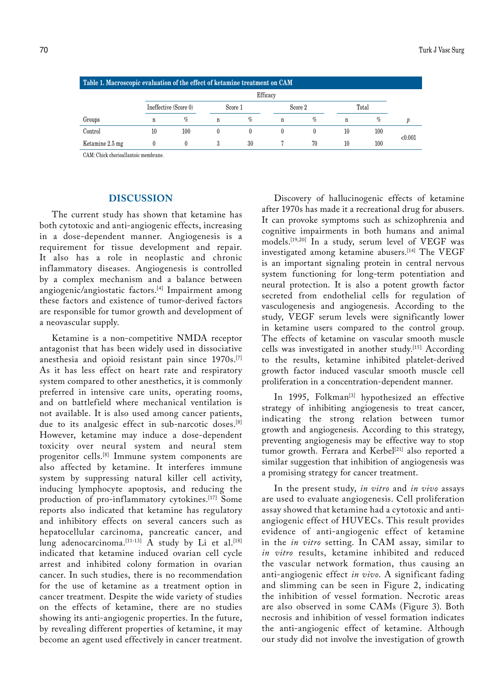| Table 1. Macroscopic evaluation of the effect of ketamine treatment on CAM |                       |      |         |    |         |      |       |     |         |
|----------------------------------------------------------------------------|-----------------------|------|---------|----|---------|------|-------|-----|---------|
|                                                                            | Efficacy              |      |         |    |         |      |       |     |         |
|                                                                            | Ineffective (Score 0) |      | Score 1 |    | Score 2 |      | Total |     |         |
| Groups                                                                     | n                     | $\%$ | n       | %  | n       | $\%$ | n     | %   |         |
| Control                                                                    | 10                    | 100  |         |    |         |      | 10    | 100 | < 0.001 |
| Ketamine 2.5 mg                                                            |                       |      |         | 30 |         | 70   | 10    | 100 |         |

CAM: Chick chorioallantoic membrane.

## **DISCUSSION**

The current study has shown that ketamine has both cytotoxic and anti-angiogenic effects, increasing in a dose-dependent manner. Angiogenesis is a requirement for tissue development and repair. It also has a role in neoplastic and chronic inflammatory diseases. Angiogenesis is controlled by a complex mechanism and a balance between angiogenic/angiostatic factors.[4] Impairment among these factors and existence of tumor-derived factors are responsible for tumor growth and development of a neovascular supply.

Ketamine is a non-competitive NMDA receptor antagonist that has been widely used in dissociative anesthesia and opioid resistant pain since 1970s.[7] As it has less effect on heart rate and respiratory system compared to other anesthetics, it is commonly preferred in intensive care units, operating rooms, and on battlefield where mechanical ventilation is not available. It is also used among cancer patients, due to its analgesic effect in sub-narcotic doses.<sup>[8]</sup> However, ketamine may induce a dose-dependent toxicity over neural system and neural stem progenitor cells.<sup>[8]</sup> Immune system components are also affected by ketamine. It interferes immune system by suppressing natural killer cell activity, inducing lymphocyte apoptosis, and reducing the production of pro-inflammatory cytokines.[17] Some reports also indicated that ketamine has regulatory and inhibitory effects on several cancers such as hepatocellular carcinoma, pancreatic cancer, and lung adenocarcinoma.  $[11-13]$  A study by Li et al.  $[18]$ indicated that ketamine induced ovarian cell cycle arrest and inhibited colony formation in ovarian cancer. In such studies, there is no recommendation for the use of ketamine as a treatment option in cancer treatment. Despite the wide variety of studies on the effects of ketamine, there are no studies showing its anti-angiogenic properties. In the future, by revealing different properties of ketamine, it may become an agent used effectively in cancer treatment.

Discovery of hallucinogenic effects of ketamine after 1970s has made it a recreational drug for abusers. It can provoke symptoms such as schizophrenia and cognitive impairments in both humans and animal models.[19,20] In a study, serum level of VEGF was investigated among ketamine abusers.<sup>[14]</sup> The VEGF is an important signaling protein in central nervous system functioning for long-term potentiation and neural protection. It is also a potent growth factor secreted from endothelial cells for regulation of vasculogenesis and angiogenesis. According to the study, VEGF serum levels were significantly lower in ketamine users compared to the control group. The effects of ketamine on vascular smooth muscle cells was investigated in another study.[15] According to the results, ketamine inhibited platelet-derived growth factor induced vascular smooth muscle cell proliferation in a concentration-dependent manner.

In 1995, Folkman<sup>[3]</sup> hypothesized an effective strategy of inhibiting angiogenesis to treat cancer, indicating the strong relation between tumor growth and angiogenesis. According to this strategy, preventing angiogenesis may be effective way to stop tumor growth. Ferrara and Kerbel<sup>[21]</sup> also reported a similar suggestion that inhibition of angiogenesis was a promising strategy for cancer treatment.

In the present study, *in vitro* and *in vivo* assays are used to evaluate angiogenesis. Cell proliferation assay showed that ketamine had a cytotoxic and antiangiogenic effect of HUVECs. This result provides evidence of anti-angiogenic effect of ketamine in the *in vitro* setting. In CAM assay, similar to *in vitro* results, ketamine inhibited and reduced the vascular network formation, thus causing an anti-angiogenic effect *in vivo*. A significant fading and slimming can be seen in Figure 2, indicating the inhibition of vessel formation. Necrotic areas are also observed in some CAMs (Figure 3). Both necrosis and inhibition of vessel formation indicates the anti-angiogenic effect of ketamine. Although our study did not involve the investigation of growth